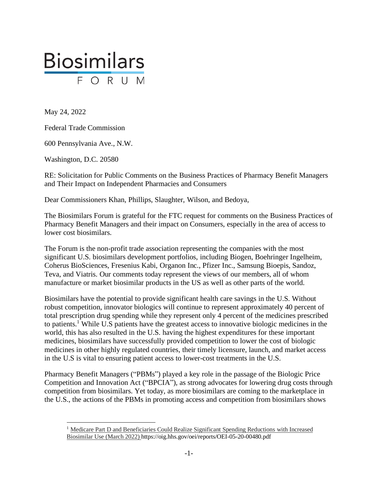

May 24, 2022

Federal Trade Commission

600 Pennsylvania Ave., N.W.

Washington, D.C. 20580

RE: Solicitation for Public Comments on the Business Practices of Pharmacy Benefit Managers and Their Impact on Independent Pharmacies and Consumers

Dear Commissioners Khan, Phillips, Slaughter, Wilson, and Bedoya,

The Biosimilars Forum is grateful for the FTC request for comments on the Business Practices of Pharmacy Benefit Managers and their impact on Consumers, especially in the area of access to lower cost biosimilars.

The Forum is the non-profit trade association representing the companies with the most significant U.S. biosimilars development portfolios, including Biogen, Boehringer Ingelheim, Coherus BioSciences, Fresenius Kabi, Organon Inc., Pfizer Inc., Samsung Bioepis, Sandoz, Teva, and Viatris. Our comments today represent the views of our members, all of whom manufacture or market biosimilar products in the US as well as other parts of the world.

Biosimilars have the potential to provide significant health care savings in the U.S. Without robust competition, innovator biologics will continue to represent approximately 40 percent of total prescription drug spending while they represent only 4 percent of the medicines prescribed to patients.<sup>1</sup> While U.S patients have the greatest access to innovative biologic medicines in the world, this has also resulted in the U.S. having the highest expenditures for these important medicines, biosimilars have successfully provided competition to lower the cost of biologic medicines in other highly regulated countries, their timely licensure, launch, and market access in the U.S is vital to ensuring patient access to lower-cost treatments in the U.S.

Pharmacy Benefit Managers ("PBMs") played a key role in the passage of the Biologic Price Competition and Innovation Act ("BPCIA"), as strong advocates for lowering drug costs through competition from biosimilars. Yet today, as more biosimilars are coming to the marketplace in the U.S., the actions of the PBMs in promoting access and competition from biosimilars shows

<sup>1</sup> Medicare Part D and Beneficiaries Could Realize Significant Spending Reductions with Increased Biosimilar Use (March 2022) https://oig.hhs.gov/oei/reports/OEI-05-20-00480.pdf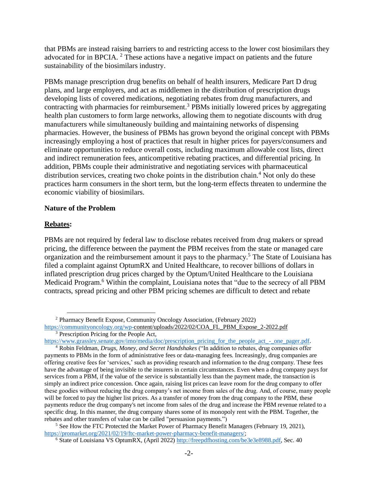that PBMs are instead raising barriers to and restricting access to the lower cost biosimilars they advocated for in BPCIA. <sup>2</sup> These actions have a negative impact on patients and the future sustainability of the biosimilars industry.

PBMs manage prescription drug benefits on behalf of health insurers, Medicare Part D drug plans, and large employers, and act as middlemen in the distribution of prescription drugs developing lists of covered medications, negotiating rebates from drug manufacturers, and contracting with pharmacies for reimbursement.<sup>3</sup> PBMs initially lowered prices by aggregating health plan customers to form large networks, allowing them to negotiate discounts with drug manufacturers while simultaneously building and maintaining networks of dispensing pharmacies. However, the business of PBMs has grown beyond the original concept with PBMs increasingly employing a host of practices that result in higher prices for payers/consumers and eliminate opportunities to reduce overall costs, including maximum allowable cost lists, direct and indirect remuneration fees, anticompetitive rebating practices, and differential pricing. In addition, PBMs couple their administrative and negotiating services with pharmaceutical distribution services, creating two choke points in the distribution chain.<sup>4</sup> Not only do these practices harm consumers in the short term, but the long-term effects threaten to undermine the economic viability of biosimilars.

#### **Nature of the Problem**

#### **Rebates:**

PBMs are not required by federal law to disclose rebates received from drug makers or spread pricing, the difference between the payment the PBM receives from the state or managed care organization and the reimbursement amount it pays to the pharmacy.<sup>5</sup> The State of Louisiana has filed a complaint against OptumRX and United Healthcare, to recover billions of dollars in inflated prescription drug prices charged by the Optum/United Healthcare to the Louisiana Medicaid Program.<sup>6</sup> Within the complaint, Louisiana notes that "due to the secrecy of all PBM contracts, spread pricing and other PBM pricing schemes are difficult to detect and rebate

 $5$  See How the FTC Protected the Market Power of Pharmacy Benefit Managers (February 19, 2021), [https://promarket.org/2021/02/19/ftc-market-power-pharmacy-benefit-managers/;](https://promarket.org/2021/02/19/ftc-market-power-pharmacy-benefit-managers/)

<sup>2</sup> Pharmacy Benefit Expose, Community Oncology Association, (February 2022)

[https://communityoncology.org/wp-c](https://communityoncology.org/wp-)ontent/uploads/2022/02/COA\_FL\_PBM\_Expose\_2-2022.pdf <sup>3</sup> Prescription Pricing for the People Act,

[https://www.grassley.senate.gov/imo/media/doc/prescription\\_pricing\\_for\\_the\\_people\\_act\\_-\\_one\\_pager.pdf.](https://www.grassley.senate.gov/imo/media/doc/prescription_pricing_for_the_people_act_-_one_pager.pdf) 

<sup>4</sup> Robin Feldman, *Drugs, Money, and Secret Handshakes* ("In addition to rebates, drug companies offer payments to PBMs in the form of administrative fees or data-managing fees. Increasingly, drug companies are offering creative fees for 'services,' such as providing research and information to the drug company. These fees have the advantage of being invisible to the insurers in certain circumstances. Even when a drug company pays for services from a PBM, if the value of the service is substantially less than the payment made, the transaction is simply an indirect price concession. Once again, raising list prices can leave room for the drug company to offer these goodies without reducing the drug company's net income from sales of the drug. And, of course, many people will be forced to pay the higher list prices. As a transfer of money from the drug company to the PBM, these payments reduce the drug company's net income from sales of the drug and increase the PBM revenue related to a specific drug. In this manner, the drug company shares some of its monopoly rent with the PBM. Together, the rebates and other transfers of value can be called "persuasion payments.")

<sup>6</sup> State of Louisiana VS OptumRX, (April 2022[\) http://freepdfhosting.com/be3e3e8988.pdf,](http://freepdfhosting.com/be3e3e8988.pdf) Sec. 40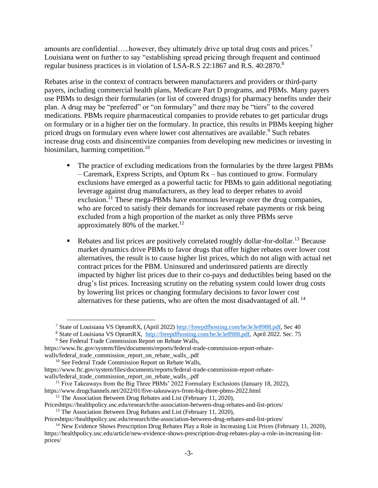amounts are confidential.....however, they ultimately drive up total drug costs and prices.<sup>7</sup> Louisiana went on further to say "establishing spread pricing through frequent and continued regular business practices is in violation of LSA-R.S 22:1867 and R.S. 40:2870.<sup>8</sup>

Rebates arise in the context of contracts between manufacturers and providers or third-party payers, including commercial health plans, Medicare Part D programs, and PBMs. Many payers use PBMs to design their formularies (or list of covered drugs) for pharmacy benefits under their plan. A drug may be "preferred" or "on formulary" and there may be "tiers" to the covered medications. PBMs require pharmaceutical companies to provide rebates to get particular drugs on formulary or in a higher tier on the formulary. In practice, this results in PBMs keeping higher priced drugs on formulary even where lower cost alternatives are available.<sup>9</sup> Such rebates increase drug costs and disincentivize companies from developing new medicines or investing in biosimilars, harming competition.<sup>10</sup>

- **•** The practice of excluding medications from the formularies by the three largest PBMs – Caremark, Express Scripts, and Optum Rx – has continued to grow. Formulary exclusions have emerged as a powerful tactic for PBMs to gain additional negotiating leverage against drug manufacturers, as they lead to deeper rebates to avoid exclusion.<sup>11</sup> These mega-PBMs have enormous leverage over the drug companies, who are forced to satisfy their demands for increased rebate payments or risk being excluded from a high proportion of the market as only three PBMs serve approximately 80% of the market.<sup>12</sup>
- Rebates and list prices are positively correlated roughly dollar-for-dollar.<sup>13</sup> Because market dynamics drive PBMs to favor drugs that offer higher rebates over lower cost alternatives, the result is to cause higher list prices, which do not align with actual net contract prices for the PBM. Uninsured and underinsured patients are directly impacted by higher list prices due to their co-pays and deductibles being based on the drug's list prices. Increasing scrutiny on the rebating system could lower drug costs by lowering list prices or changing formulary decisions to favor lower cost alternatives for these patients, who are often the most disadvantaged of all.<sup>14</sup>

Priceshttps://healthpolicy.usc.edu/research/the-association-between-drug-rebates-and-list-prices/

<sup>7</sup> State of Louisiana VS OptumRX, (April 2022[\) http://freepdfhosting.com/be3e3e8988.pdf,](http://freepdfhosting.com/be3e3e8988.pdf) Sec 40

<sup>&</sup>lt;sup>8</sup> State of Louisiana VS OptumRX, [http://freepdfhosting.com/be3e3e8988.pdf,](http://freepdfhosting.com/be3e3e8988.pdf) April 2022. Sec. 75

<sup>9</sup> See Federal Trade Commission Report on Rebate Walls,

https://www.ftc.gov/system/files/documents/reports/federal-trade-commission-report-rebatewalls/federal\_trade\_commission\_report\_on\_rebate\_walls\_.pdf

<sup>&</sup>lt;sup>10</sup> See Federal Trade Commission Report on Rebate Walls,

https://www.ftc.gov/system/files/documents/reports/federal-trade-commission-report-rebatewalls/federal\_trade\_commission\_report\_on\_rebate\_walls\_.pdf

<sup>&</sup>lt;sup>11</sup> Five Takeaways from the Big Three PBMs' 2022 Formulary Exclusions (January 18, 2022), https://www.drugchannels.net/2022/01/five-takeaways-from-big-three-pbms-2022.html

 $12$  The Association Between Drug Rebates and List (February 11, 2020),

Priceshttps://healthpolicy.usc.edu/research/the-association-between-drug-rebates-and-list-prices/

<sup>&</sup>lt;sup>13</sup> The Association Between Drug Rebates and List (February 11, 2020),

<sup>&</sup>lt;sup>14</sup> New Evidence Shows Prescription Drug Rebates Play a Role in Increasing List Prices (February 11, 2020), https://healthpolicy.usc.edu/article/new-evidence-shows-prescription-drug-rebates-play-a-role-in-increasing-listprices/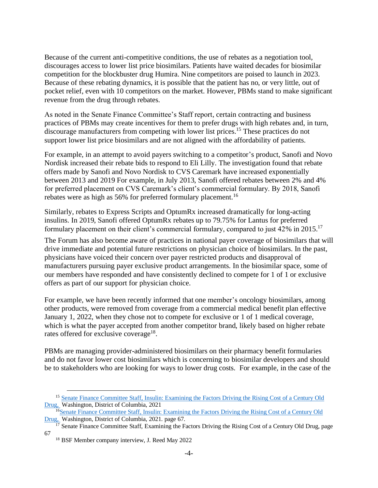Because of the current anti-competitive conditions, the use of rebates as a negotiation tool, discourages access to lower list price biosimilars. Patients have waited decades for biosimilar competition for the blockbuster drug Humira. Nine competitors are poised to launch in 2023. Because of these rebating dynamics, it is possible that the patient has no, or very little, out of pocket relief, even with 10 competitors on the market. However, PBMs stand to make significant revenue from the drug through rebates.

As noted in the Senate Finance Committee's Staff report, certain contracting and business practices of PBMs may create incentives for them to prefer drugs with high rebates and, in turn, discourage manufacturers from competing with lower list prices.<sup>15</sup> These practices do not support lower list price biosimilars and are not aligned with the affordability of patients.

For example, in an attempt to avoid payers switching to a competitor's product, Sanofi and Novo Nordisk increased their rebate bids to respond to Eli Lilly. The investigation found that rebate offers made by Sanofi and Novo Nordisk to CVS Caremark have increased exponentially between 2013 and 2019 For example, in July 2013, Sanofi offered rebates between 2% and 4% for preferred placement on CVS Caremark's client's commercial formulary. By 2018, Sanofi rebates were as high as 56% for preferred formulary placement.<sup>16</sup>

Similarly, rebates to Express Scripts and OptumRx increased dramatically for long-acting insulins. In 2019, Sanofi offered OptumRx rebates up to 79.75% for Lantus for preferred formulary placement on their client's commercial formulary, compared to just 42% in 2015.<sup>17</sup>

The Forum has also become aware of practices in national payer coverage of biosimilars that will drive immediate and potential future restrictions on physician choice of biosimilars. In the past, physicians have voiced their concern over payer restricted products and disapproval of manufacturers pursuing payer exclusive product arrangements. In the biosimilar space, some of our members have responded and have consistently declined to compete for 1 of 1 or exclusive offers as part of our support for physician choice.

For example, we have been recently informed that one member's oncology biosimilars, among other products, were removed from coverage from a commercial medical benefit plan effective January 1, 2022, when they chose not to compete for exclusive or 1 of 1 medical coverage, which is what the payer accepted from another competitor brand, likely based on higher rebate rates offered for exclusive coverage<sup>18</sup>.

PBMs are managing provider-administered biosimilars on their pharmacy benefit formularies and do not favor lower cost biosimilars which is concerning to biosimilar developers and should be to stakeholders who are looking for ways to lower drug costs. For example, in the case of the

<sup>&</sup>lt;sup>15</sup> Senate Finance Committee Staff, Insulin: Examining the Factors Driving the Rising Cost of a Century Old [Drug,](https://www.finance.senate.gov/imo/media/doc/Grassley-Wyden%20Insulin%20Report%20(FINAL%201).pdf) Washington, District of Columbia, 2021

<sup>&</sup>lt;sup>16</sup>Senate Finance Committee Staff, Insulin: Examining the Factors Driving the Rising Cost of a Century Old [Drug,](https://www.finance.senate.gov/imo/media/doc/Grassley-Wyden%20Insulin%20Report%20(FINAL%201).pdf) Washington, District of Columbia, 2021. page 67.

<sup>&</sup>lt;sup>17</sup> Senate Finance Committee Staff, Examining the Factors Driving the Rising Cost of a Century Old Drug, page 67

<sup>18</sup> BSF Member company interview, J. Reed May 2022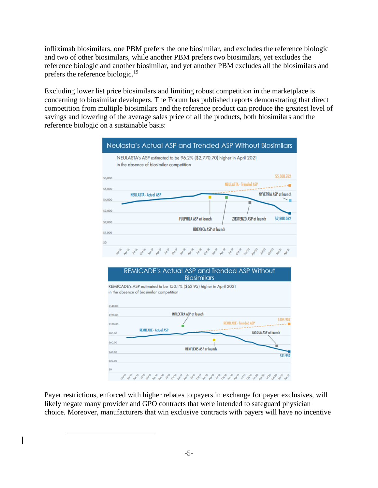infliximab biosimilars, one PBM prefers the one biosimilar, and excludes the reference biologic and two of other biosimilars, while another PBM prefers two biosimilars, yet excludes the reference biologic and another biosimilar, and yet another PBM excludes all the biosimilars and prefers the reference biologic.<sup>19</sup>

Excluding lower list price biosimilars and limiting robust competition in the marketplace is concerning to biosimilar developers. The Forum has published reports demonstrating that direct competition from multiple biosimilars and the reference product can produce the greatest level of savings and lowering of the average sales price of all the products, both biosimilars and the reference biologic on a sustainable basis:



Payer restrictions, enforced with higher rebates to payers in exchange for payer exclusives, will likely negate many provider and GPO contracts that were intended to safeguard physician choice. Moreover, manufacturers that win exclusive contracts with payers will have no incentive

,,,,,,,,,,,,,,,,,,,,,,,,,,,,,,,

\$0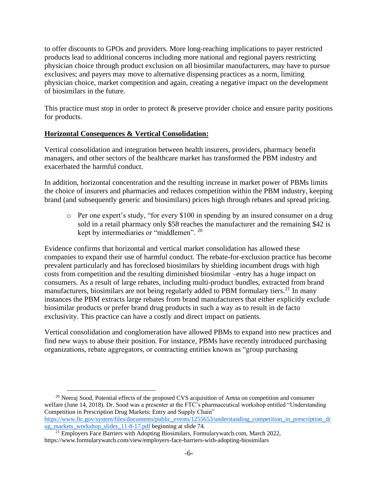to offer discounts to GPOs and providers. More long-reaching implications to payer restricted products lead to additional concerns including more national and regional payers restricting physician choice through product exclusion on all biosimilar manufacturers, may have to pursue exclusives; and payers may move to alternative dispensing practices as a norm, limiting physician choice, market competition and again, creating a negative impact on the development of biosimilars in the future.

This practice must stop in order to protect  $\&$  preserve provider choice and ensure parity positions for products.

# **Horizontal Consequences & Vertical Consolidation:**

Vertical consolidation and integration between health insurers, providers, pharmacy benefit managers, and other sectors of the healthcare market has transformed the PBM industry and exacerbated the harmful conduct.

In addition, horizontal concentration and the resulting increase in market power of PBMs limits the choice of insurers and pharmacies and reduces competition within the PBM industry, keeping brand (and subsequently generic and biosimilars) prices high through rebates and spread pricing.

o Per one expert's study, "for every \$100 in spending by an insured consumer on a drug sold in a retail pharmacy only \$58 reaches the manufacturer and the remaining \$42 is kept by intermediaries or "middlemen". <sup>20</sup>

Evidence confirms that horizontal and vertical market consolidation has allowed these companies to expand their use of harmful conduct. The rebate-for-exclusion practice has become prevalent particularly and has foreclosed biosimilars by shielding incumbent drugs with high costs from competition and the resulting diminished biosimilar –entry has a huge impact on consumers. As a result of large rebates, including multi-product bundles, extracted from brand manufacturers, biosimilars are not being regularly added to PBM formulary tiers.<sup>21</sup> In many instances the PBM extracts large rebates from brand manufacturers that either explicitly exclude biosimilar products or prefer brand drug products in such a way as to result in de facto exclusivity. This practice can have a costly and direct impact on patients.

Vertical consolidation and conglomeration have allowed PBMs to expand into new practices and find new ways to abuse their position. For instance, PBMs have recently introduced purchasing organizations, rebate aggregators, or contracting entities known as "group purchasing

 $20$  Neeraj Sood, Potential effects of the proposed CVS acquisition of Aetna on competition and consumer welfare (June 14, 2018). Dr. Sood was a presenter at the FTC's pharmaceutical workshop entitled "Understanding Competition in Prescription Drug Markets: Entry and Supply Chain" [https://www.ftc.gov/system/files/documents/public\\_events/1255653/understanding\\_competition\\_in\\_prescription\\_dr](https://www.ftc.gov/system/files/documents/public_events/1255653/understanding_competition_in_prescription_drug_markets_workshop_slides_11-8-17.pdf) [ug\\_markets\\_workshop\\_slides\\_11-8-17.pdf](https://www.ftc.gov/system/files/documents/public_events/1255653/understanding_competition_in_prescription_drug_markets_workshop_slides_11-8-17.pdf) beginning at slide 74.

<sup>&</sup>lt;sup>21</sup> Employers Face Barriers with Adopting Biosimilars, Formularywatch.com, March 2022, https://www.formularywatch.com/view/employers-face-barriers-with-adopting-biosimilars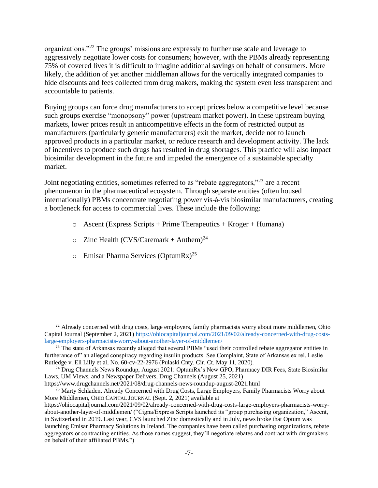organizations."<sup>22</sup> The groups' missions are expressly to further use scale and leverage to aggressively negotiate lower costs for consumers; however, with the PBMs already representing 75% of covered lives it is difficult to imagine additional savings on behalf of consumers. More likely, the addition of yet another middleman allows for the vertically integrated companies to hide discounts and fees collected from drug makers, making the system even less transparent and accountable to patients.

Buying groups can force drug manufacturers to accept prices below a competitive level because such groups exercise "monopsony" power (upstream market power). In these upstream buying markets, lower prices result in anticompetitive effects in the form of restricted output as manufacturers (particularly generic manufacturers) exit the market, decide not to launch approved products in a particular market, or reduce research and development activity. The lack of incentives to produce such drugs has resulted in drug shortages. This practice will also impact biosimilar development in the future and impeded the emergence of a sustainable specialty market.

Joint negotiating entities, sometimes referred to as "rebate aggregators,"<sup>23</sup> are a recent phenomenon in the pharmaceutical ecosystem. Through separate entities (often housed internationally) PBMs concentrate negotiating power vis-à-vis biosimilar manufacturers, creating a bottleneck for access to commercial lives. These include the following:

- $\circ$  Ascent (Express Scripts + Prime Therapeutics + Kroger + Humana)
- $\circ$  Zinc Health (CVS/Caremark + Anthem)<sup>24</sup>
- $\circ$  Emisar Pharma Services (OptumRx)<sup>25</sup>

 $^{22}$  Already concerned with drug costs, large employers, family pharmacists worry about more middlemen. Ohio Capital Journal (September 2, 2021[\) https://ohiocapitaljournal.com/2021/09/02/already-concerned-with-drug-costs](https://ohiocapitaljournal.com/2021/09/02/already-concerned-with-drug-costs-large-employers-pharmacists-worry-about-another-layer-of-middlemen/)[large-employers-pharmacists-worry-about-another-layer-of-middlemen/](https://ohiocapitaljournal.com/2021/09/02/already-concerned-with-drug-costs-large-employers-pharmacists-worry-about-another-layer-of-middlemen/)

<sup>&</sup>lt;sup>23</sup> The state of Arkansas recently alleged that several PBMs "used their controlled rebate aggregator entities in furtherance of" an alleged conspiracy regarding insulin products. See Complaint, State of Arkansas ex rel. Leslie Rutledge v. Eli Lilly et al, No. 60-cv-22-2976 (Pulaski Cnty. Cir. Ct. May 11, 2020).

<sup>&</sup>lt;sup>24</sup> Drug Channels News Roundup, August 2021: OptumRx's New GPO, Pharmacy DIR Fees, State Biosimilar Laws, UM Views, and a Newspaper Delivers, Drug Channels (August 25, 2021)

https://www.drugchannels.net/2021/08/drug-channels-news-roundup-august-2021.html

<sup>&</sup>lt;sup>25</sup> Marty Schladen, Already Concerned with Drug Costs, Large Employers, Family Pharmacists Worry about More Middlemen, OHIO CAPITAL JOURNAL (Sept. 2, 2021) available at

https://ohiocapitaljournal.com/2021/09/02/already-concerned-with-drug-costs-large-employers-pharmacists-worryabout-another-layer-of-middlemen/ ("Cigna/Express Scripts launched its "group purchasing organization," Ascent, in Switzerland in 2019. Last year, CVS launched Zinc domestically and in July, news broke that Optum was launching Emisar Pharmacy Solutions in Ireland. The companies have been called purchasing organizations, rebate aggregators or contracting entities. As those names suggest, they'll negotiate rebates and contract with drugmakers on behalf of their affiliated PBMs.")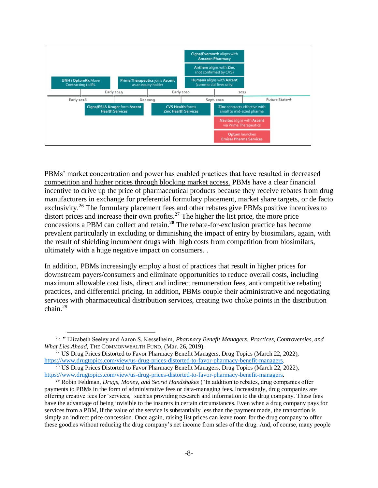

PBMs' market concentration and power has enabled practices that have resulted in decreased competition and higher prices through blocking market access. PBMs have a clear financial incentive to drive up the price of pharmaceutical products because they receive rebates from drug manufacturers in exchange for preferential formulary placement, market share targets, or de facto exclusivity.<sup>26</sup> The formulary placement fees and other rebates give PBMs positive incentives to distort prices and increase their own profits.<sup>27</sup> The higher the list price, the more price concessions a PBM can collect and retain.**<sup>28</sup>** The rebate-for-exclusion practice has become prevalent particularly in excluding or diminishing the impact of entry by biosimilars, again, with the result of shielding incumbent drugs with high costs from competition from biosimilars, ultimately with a huge negative impact on consumers. .

In addition, PBMs increasingly employ a host of practices that result in higher prices for downstream payers/consumers and eliminate opportunities to reduce overall costs, including maximum allowable cost lists, direct and indirect remuneration fees, anticompetitive rebating practices, and differential pricing. In addition, PBMs couple their administrative and negotiating services with pharmaceutical distribution services, creating two choke points in the distribution chain.<sup>29</sup>

<sup>26</sup> ." Elizabeth Seeley and Aaron S. Kesselheim, *Pharmacy Benefit Managers: Practices, Controversies, and What Lies Ahead*, THE COMMONWEALTH FUND, (Mar. 26, 2019).

<sup>&</sup>lt;sup>27</sup> US Drug Prices Distorted to Favor Pharmacy Benefit Managers, Drug Topics (March 22, 2022), [https://www.drugtopics.com/view/us-drug-prices-distorted-to-favor-pharmacy-benefit-managers.](https://www.drugtopics.com/view/us-drug-prices-distorted-to-favor-pharmacy-benefit-managers)

<sup>&</sup>lt;sup>28</sup> US Drug Prices Distorted to Favor Pharmacy Benefit Managers, Drug Topics (March 22, 2022), [https://www.drugtopics.com/view/us-drug-prices-distorted-to-favor-pharmacy-benefit-managers.](https://www.drugtopics.com/view/us-drug-prices-distorted-to-favor-pharmacy-benefit-managers)

<sup>29</sup> Robin Feldman, *Drugs, Money, and Secret Handshakes* ("In addition to rebates, drug companies offer payments to PBMs in the form of administrative fees or data-managing fees. Increasingly, drug companies are offering creative fees for 'services,' such as providing research and information to the drug company. These fees have the advantage of being invisible to the insurers in certain circumstances. Even when a drug company pays for services from a PBM, if the value of the service is substantially less than the payment made, the transaction is simply an indirect price concession. Once again, raising list prices can leave room for the drug company to offer these goodies without reducing the drug company's net income from sales of the drug. And, of course, many people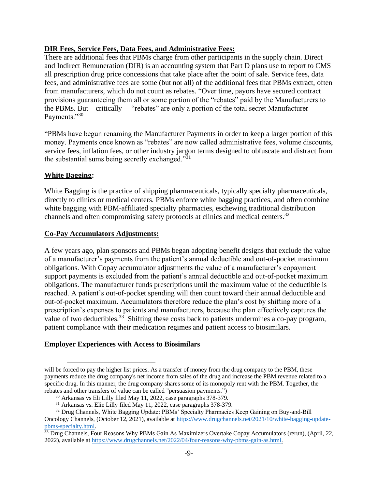## **DIR Fees, Service Fees, Data Fees, and Administrative Fees:**

There are additional fees that PBMs charge from other participants in the supply chain. Direct and Indirect Remuneration (DIR) is an accounting system that Part D plans use to report to CMS all prescription drug price concessions that take place after the point of sale. Service fees, data fees, and administrative fees are some (but not all) of the additional fees that PBMs extract, often from manufacturers, which do not count as rebates. "Over time, payors have secured contract provisions guaranteeing them all or some portion of the "rebates" paid by the Manufacturers to the PBMs. But—critically— "rebates" are only a portion of the total secret Manufacturer Payments."30

"PBMs have begun renaming the Manufacturer Payments in order to keep a larger portion of this money. Payments once known as "rebates" are now called administrative fees, volume discounts, service fees, inflation fees, or other industry jargon terms designed to obfuscate and distract from the substantial sums being secretly exchanged."<sup>31</sup>

### **White Bagging:**

White Bagging is the practice of shipping pharmaceuticals, typically specialty pharmaceuticals, directly to clinics or medical centers. PBMs enforce white bagging practices, and often combine white bagging with PBM-affiliated specialty pharmacies, eschewing traditional distribution channels and often compromising safety protocols at clinics and medical centers.<sup>32</sup>

### **Co-Pay Accumulators Adjustments:**

A few years ago, plan sponsors and PBMs began adopting benefit designs that exclude the value of a manufacturer's payments from the patient's annual deductible and out-of-pocket maximum obligations. With Copay accumulator adjustments the value of a manufacturer's copayment support payments is excluded from the patient's annual deductible and out-of-pocket maximum obligations. The manufacturer funds prescriptions until the maximum value of the deductible is reached. A patient's out-of-pocket spending will then count toward their annual deductible and out-of-pocket maximum. Accumulators therefore reduce the plan's cost by shifting more of a prescription's expenses to patients and manufacturers, because the plan effectively captures the value of two deductibles.<sup>33</sup> Shifting these costs back to patients undermines a co-pay program, patient compliance with their medication regimes and patient access to biosimilars.

# **Employer Experiences with Access to Biosimilars**

will be forced to pay the higher list prices. As a transfer of money from the drug company to the PBM, these payments reduce the drug company's net income from sales of the drug and increase the PBM revenue related to a specific drug. In this manner, the drug company shares some of its monopoly rent with the PBM. Together, the rebates and other transfers of value can be called "persuasion payments.")

<sup>30</sup> Arkansas vs Eli Lilly filed May 11, 2022, case paragraphs 378-379.

<sup>31</sup> Arkansas vs. Elie Lilly filed May 11, 2022, case paragraphs 378-379.

<sup>&</sup>lt;sup>32</sup> Drug Channels, White Bagging Update: PBMs' Specialty Pharmacies Keep Gaining on Buy-and-Bill Oncology Channels, (October 12, 2021), available at [https://www.drugchannels.net/2021/10/white-bagging-update](https://www.drugchannels.net/2021/10/white-bagging-update-pbms-specialty.html)[pbms-specialty.html.](https://www.drugchannels.net/2021/10/white-bagging-update-pbms-specialty.html)

<sup>&</sup>lt;sup>33</sup> Drug Channels, Four Reasons Why PBMs Gain As Maximizers Overtake Copay Accumulators (rerun), (April, 22, 2022), available a[t https://www.drugchannels.net/2022/04/four-reasons-why-pbms-gain-as.html.](https://www.drugchannels.net/2022/04/four-reasons-why-pbms-gain-as.html)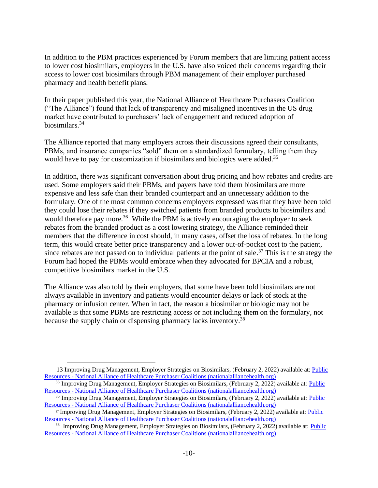In addition to the PBM practices experienced by Forum members that are limiting patient access to lower cost biosimilars, employers in the U.S. have also voiced their concerns regarding their access to lower cost biosimilars through PBM management of their employer purchased pharmacy and health benefit plans.

In their paper published this year, the National Alliance of Healthcare Purchasers Coalition ("The Alliance") found that lack of transparency and misaligned incentives in the US drug market have contributed to purchasers' lack of engagement and reduced adoption of biosimilars.<sup>34</sup>

The Alliance reported that many employers across their discussions agreed their consultants, PBMs, and insurance companies "sold" them on a standardized formulary, telling them they would have to pay for customization if biosimilars and biologics were added.<sup>35</sup>

In addition, there was significant conversation about drug pricing and how rebates and credits are used. Some employers said their PBMs, and payers have told them biosimilars are more expensive and less safe than their branded counterpart and an unnecessary addition to the formulary. One of the most common concerns employers expressed was that they have been told they could lose their rebates if they switched patients from branded products to biosimilars and would therefore pay more.<sup>36</sup> While the PBM is actively encouraging the employer to seek rebates from the branded product as a cost lowering strategy, the Alliance reminded their members that the difference in cost should, in many cases, offset the loss of rebates. In the long term, this would create better price transparency and a lower out-of-pocket cost to the patient, since rebates are not passed on to individual patients at the point of sale.<sup>37</sup> This is the strategy the Forum had hoped the PBMs would embrace when they advocated for BPCIA and a robust, competitive biosimilars market in the U.S.

The Alliance was also told by their employers, that some have been told biosimilars are not always available in inventory and patients would encounter delays or lack of stock at the pharmacy or infusion center. When in fact, the reason a biosimilar or biologic may not be available is that some PBMs are restricting access or not including them on the formulary, not because the supply chain or dispensing pharmacy lacks inventory.<sup>38</sup>

<sup>13</sup> Improving Drug Management, Employer Strategies on Biosimilars, (February 2, 2022) available at: [Public](https://connect.nationalalliancehealth.org/viewdocument/improving-drug-management-employer)  Resources - [National Alliance of Healthcare Purchaser Coalitions \(nationalalliancehealth.org\)](https://connect.nationalalliancehealth.org/viewdocument/improving-drug-management-employer)

<sup>&</sup>lt;sup>35</sup> Improving Drug Management, Employer Strategies on Biosimilars, (February 2, 2022) available at: Public Resources - [National Alliance of Healthcare Purchaser Coalitions \(nationalalliancehealth.org\)](https://connect.nationalalliancehealth.org/viewdocument/improving-drug-management-employer)

<sup>&</sup>lt;sup>36</sup> Improving Drug Management, Employer Strategies on Biosimilars, (February 2, 2022) available at: Public Resources - [National Alliance of Healthcare Purchaser Coalitions \(nationalalliancehealth.org\)](https://connect.nationalalliancehealth.org/viewdocument/improving-drug-management-employer)

<sup>37</sup> Improving Drug Management, Employer Strategies on Biosimilars, (February 2, 2022) available at: [Public](https://connect.nationalalliancehealth.org/viewdocument/improving-drug-management-employer)  Resources - [National Alliance of Healthcare Purchaser Coalitions \(nationalalliancehealth.org\)](https://connect.nationalalliancehealth.org/viewdocument/improving-drug-management-employer)

<sup>&</sup>lt;sup>38</sup> Improving Drug Management, Employer Strategies on Biosimilars, (February 2, 2022) available at: *Public* Resources - National Alliance of Healthcare [Purchaser Coalitions \(nationalalliancehealth.org\)](https://connect.nationalalliancehealth.org/viewdocument/improving-drug-management-employer)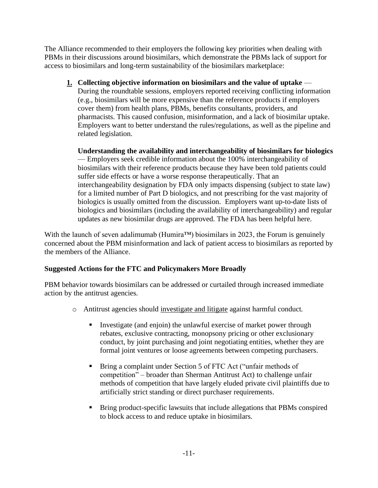The Alliance recommended to their employers the following key priorities when dealing with PBMs in their discussions around biosimilars, which demonstrate the PBMs lack of support for access to biosimilars and long-term sustainability of the biosimilars marketplace:

**1. Collecting objective information on biosimilars and the value of uptake** — During the roundtable sessions, employers reported receiving conflicting information (e.g., biosimilars will be more expensive than the reference products if employers cover them) from health plans, PBMs, benefits consultants, providers, and pharmacists. This caused confusion, misinformation, and a lack of biosimilar uptake. Employers want to better understand the rules/regulations, as well as the pipeline and related legislation.

**Understanding the availability and interchangeability of biosimilars for biologics** — Employers seek credible information about the 100% interchangeability of biosimilars with their reference products because they have been told patients could suffer side effects or have a worse response therapeutically. That an interchangeability designation by FDA only impacts dispensing (subject to state law) for a limited number of Part D biologics, and not prescribing for the vast majority of biologics is usually omitted from the discussion. Employers want up-to-date lists of biologics and biosimilars (including the availability of interchangeability) and regular updates as new biosimilar drugs are approved. The FDA has been helpful here.

With the launch of seven adalimumab (Humira™) biosimilars in 2023, the Forum is genuinely concerned about the PBM misinformation and lack of patient access to biosimilars as reported by the members of the Alliance.

# **Suggested Actions for the FTC and Policymakers More Broadly**

PBM behavior towards biosimilars can be addressed or curtailed through increased immediate action by the antitrust agencies.

- o Antitrust agencies should investigate and litigate against harmful conduct.
	- Investigate (and enjoin) the unlawful exercise of market power through rebates, exclusive contracting, monopsony pricing or other exclusionary conduct, by joint purchasing and joint negotiating entities, whether they are formal joint ventures or loose agreements between competing purchasers.
	- Bring a complaint under Section 5 of FTC Act ("unfair methods of competition" – broader than Sherman Antitrust Act) to challenge unfair methods of competition that have largely eluded private civil plaintiffs due to artificially strict standing or direct purchaser requirements.
	- Bring product-specific lawsuits that include allegations that PBMs conspired to block access to and reduce uptake in biosimilars.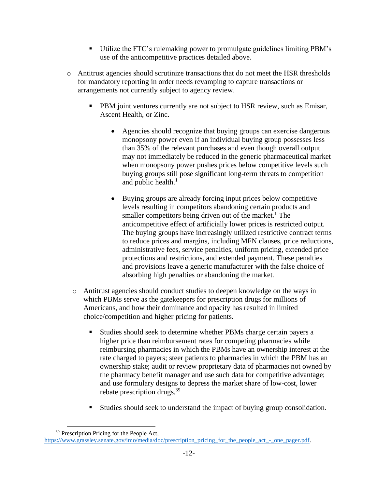- Utilize the FTC's rulemaking power to promulgate guidelines limiting PBM's use of the anticompetitive practices detailed above.
- o Antitrust agencies should scrutinize transactions that do not meet the HSR thresholds for mandatory reporting in order needs revamping to capture transactions or arrangements not currently subject to agency review.
	- PBM joint ventures currently are not subject to HSR review, such as Emisar, Ascent Health, or Zinc.
		- Agencies should recognize that buying groups can exercise dangerous monopsony power even if an individual buying group possesses less than 35% of the relevant purchases and even though overall output may not immediately be reduced in the generic pharmaceutical market when monopsony power pushes prices below competitive levels such buying groups still pose significant long-term threats to competition and public health. $<sup>1</sup>$ </sup>
		- Buying groups are already forcing input prices below competitive levels resulting in competitors abandoning certain products and smaller competitors being driven out of the market.<sup>1</sup> The anticompetitive effect of artificially lower prices is restricted output. The buying groups have increasingly utilized restrictive contract terms to reduce prices and margins, including MFN clauses, price reductions, administrative fees, service penalties, uniform pricing, extended price protections and restrictions, and extended payment. These penalties and provisions leave a generic manufacturer with the false choice of absorbing high penalties or abandoning the market.
	- o Antitrust agencies should conduct studies to deepen knowledge on the ways in which PBMs serve as the gatekeepers for prescription drugs for millions of Americans, and how their dominance and opacity has resulted in limited choice/competition and higher pricing for patients.
		- Studies should seek to determine whether PBMs charge certain payers a higher price than reimbursement rates for competing pharmacies while reimbursing pharmacies in which the PBMs have an ownership interest at the rate charged to payers; steer patients to pharmacies in which the PBM has an ownership stake; audit or review proprietary data of pharmacies not owned by the pharmacy benefit manager and use such data for competitive advantage; and use formulary designs to depress the market share of low-cost, lower rebate prescription drugs.<sup>39</sup>
		- Studies should seek to understand the impact of buying group consolidation.

<sup>&</sup>lt;sup>39</sup> Prescription Pricing for the People Act, [https://www.grassley.senate.gov/imo/media/doc/prescription\\_pricing\\_for\\_the\\_people\\_act\\_-\\_one\\_pager.pdf.](https://www.grassley.senate.gov/imo/media/doc/prescription_pricing_for_the_people_act_-_one_pager.pdf)